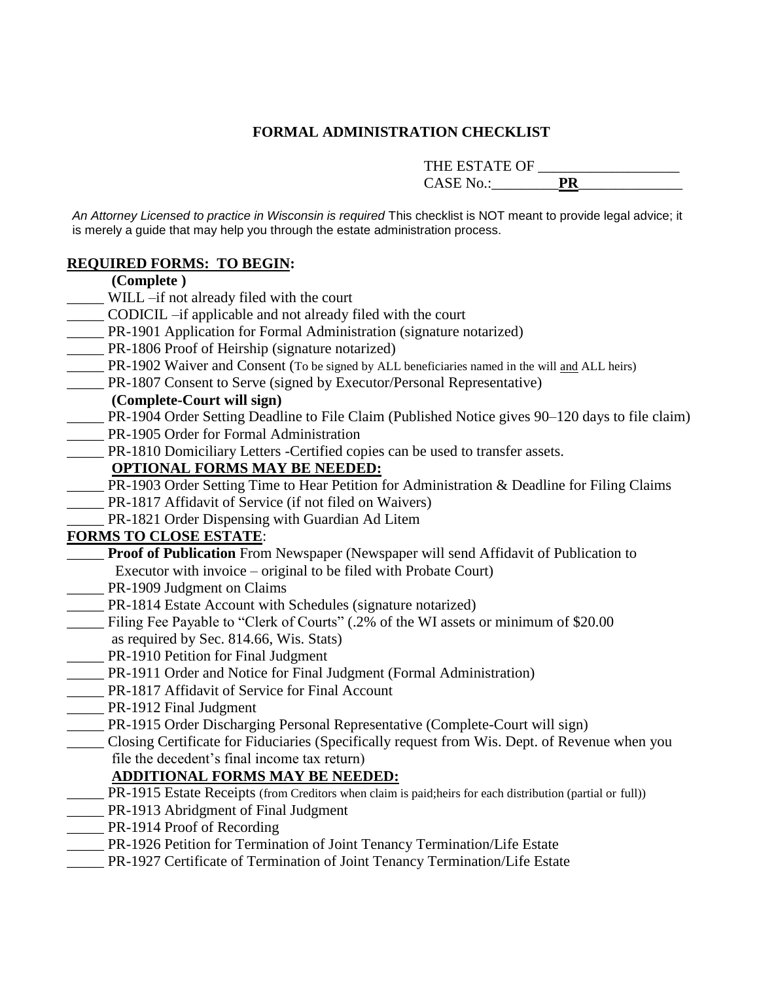## **FORMAL ADMINISTRATION CHECKLIST**

THE ESTATE OF \_\_\_\_\_\_\_\_\_\_\_\_\_\_\_\_\_\_\_

CASE No.:\_\_\_\_\_\_\_\_\_**PR**\_\_\_\_\_\_\_\_\_\_\_\_\_\_

*An Attorney Licensed to practice in Wisconsin is required* This checklist is NOT meant to provide legal advice; it is merely a guide that may help you through the estate administration process.

#### **REQUIRED FORMS: TO BEGIN:**

- **(Complete )**
- \_\_\_\_\_ WILL –if not already filed with the court
- \_\_\_\_\_ CODICIL –if applicable and not already filed with the court
- \_\_\_\_\_ PR-1901 Application for Formal Administration (signature notarized)
- \_\_\_\_\_ PR-1806 Proof of Heirship (signature notarized)
- \_\_\_\_\_ PR-1902 Waiver and Consent (To be signed by ALL beneficiaries named in the will and ALL heirs)
- \_\_\_\_\_ PR-1807 Consent to Serve (signed by Executor/Personal Representative)

### **(Complete-Court will sign)**

- \_\_\_\_\_ PR-1904 Order Setting Deadline to File Claim (Published Notice gives 90–120 days to file claim)
- PR-1905 Order for Formal Administration
- \_\_\_\_\_ PR-1810 Domiciliary Letters -Certified copies can be used to transfer assets.

## **OPTIONAL FORMS MAY BE NEEDED:**

- \_\_\_\_\_ PR-1903 Order Setting Time to Hear Petition for Administration & Deadline for Filing Claims
- \_\_\_\_\_ PR-1817 Affidavit of Service (if not filed on Waivers)
- \_\_\_\_\_ PR-1821 Order Dispensing with Guardian Ad Litem

## **FORMS TO CLOSE ESTATE**:

**Proof of Publication** From Newspaper (Newspaper will send Affidavit of Publication to Executor with invoice – original to be filed with Probate Court)

- \_\_\_\_\_ PR-1909 Judgment on Claims
- \_\_\_\_\_ PR-1814 Estate Account with Schedules (signature notarized)
- \_\_\_\_\_ Filing Fee Payable to "Clerk of Courts" (.2% of the WI assets or minimum of \$20.00 as required by Sec. 814.66, Wis. Stats)
- \_\_\_\_\_ PR-1910 Petition for Final Judgment
- \_\_\_\_\_ PR-1911 Order and Notice for Final Judgment (Formal Administration)
- PR-1817 Affidavit of Service for Final Account
- \_\_\_\_\_ PR-1912 Final Judgment
- \_\_\_\_\_ PR-1915 Order Discharging Personal Representative (Complete-Court will sign)
- \_\_\_\_\_ Closing Certificate for Fiduciaries (Specifically request from Wis. Dept. of Revenue when you file the decedent's final income tax return)

# **ADDITIONAL FORMS MAY BE NEEDED:**

- \_\_\_\_\_ PR-1915 Estate Receipts (from Creditors when claim is paid;heirs for each distribution (partial or full))
- **\_\_\_\_\_\_** PR-1913 Abridgment of Final Judgment
- \_\_\_\_\_ PR-1914 Proof of Recording
- \_\_\_\_\_ PR-1926 Petition for Termination of Joint Tenancy Termination/Life Estate
- \_\_\_\_\_ PR-1927 Certificate of Termination of Joint Tenancy Termination/Life Estate